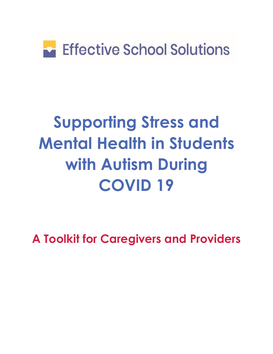

# **Supporting Stress and Mental Health in Students with Autism During COVID 19**

**A Toolkit for Caregivers and Providers**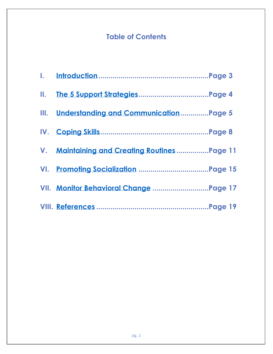### **Table of Contents**

| III. Understanding and CommunicationPage 5   |  |
|----------------------------------------------|--|
|                                              |  |
| V. Maintaining and Creating Routines Page 11 |  |
|                                              |  |
| VII. Monitor Behavioral Change Page 17       |  |
|                                              |  |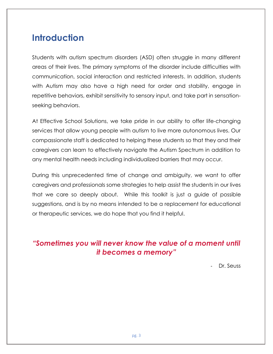### <span id="page-2-0"></span>**Introduction**

Students with autism spectrum disorders (ASD) often struggle in many different areas of their lives. The primary symptoms of the disorder include difficulties with communication, social interaction and restricted interests. In addition, students with Autism may also have a high need for order and stability, engage in repetitive behaviors, exhibit sensitivity to sensory input, and take part in sensationseeking behaviors.

At Effective School Solutions, we take pride in our ability to offer life-changing services that allow young people with autism to live more autonomous lives. Our compassionate staff is dedicated to helping these students so that they and their caregivers can learn to effectively navigate the Autism Spectrum in addition to any mental health needs including individualized barriers that may occur.

During this unprecedented time of change and ambiguity, we want to offer caregivers and professionals some strategies to help assist the students in our lives that we care so deeply about. While this toolkit is just a guide of possible suggestions, and is by no means intended to be a replacement for educational or therapeutic services, we do hope that you find it helpful.

### *"Sometimes you will never know the value of a moment until it becomes a memory"*

Dr. Seuss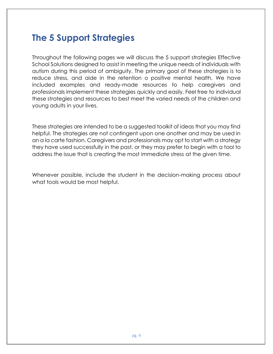### <span id="page-3-0"></span>**The 5 Support Strategies**

Throughout the following pages we will discuss the 5 support strategies Effective School Solutions designed to assist in meeting the unique needs of individuals with autism during this period of ambiguity. The primary goal of these strategies is to reduce stress, and aide in the retention o positive mental health. We have included examples and ready-made resources to help caregivers and professionals implement these strategies quickly and easily. Feel free to individual these strategies and resources to best meet the varied needs of the children and young adults in your lives.

These strategies are intended to be a suggested toolkit of ideas that you may find helpful. The strategies are not contingent upon one another and may be used in an a la carte fashion. Caregivers and professionals may opt to start with a strategy they have used successfully in the past, or they may prefer to begin with a tool to address the issue that is creating the most immediate stress at the given time.

Whenever possible, include the student in the decision-making process about what tools would be most helpful.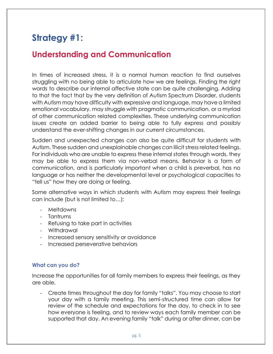## **Strategy #1:**

### <span id="page-4-0"></span>**Understanding and Communication**

In times of increased stress, it is a normal human reaction to find ourselves struggling with no being able to articulate how we are feelings. Finding the right words to describe our internal affective state can be quite challenging. Adding to that the fact that by the very definition of Autism Spectrum Disorder, students with Autism may have difficulty with expressive and language, may have a limited emotional vocabulary, may struggle with pragmatic communication, or a myriad of other communication related complexities. These underlying communication issues create an added barrier to being able to fully express and possibly understand the ever-shifting changes in our current circumstances.

Sudden and unexpected changes can also be quite difficult for students with Autism. These sudden and unexplainable changes can illicit stress related feelings. For individuals who are unable to express these internal states through words, they may be able to express them via non-verbal means. Behavior is a form of communication, and is particularly important when a child is preverbal, has no language or has neither the developmental level or psychological capacities to "tell us" how they are doing or feeling.

Some alternative ways in which students with Autism may express their feelings can include (but is not limited to…):

- Meltdowns
- Tantrums
- Refusing to take part in activities
- Withdrawal
- Increased sensory sensitivity or avoidance
- Increased perseverative behaviors

#### **What can you do?**

Increase the opportunities for all family members to express their feelings, as they are able.

- Create times throughout the day for family "talks". You may choose to start your day with a family meeting. This semi-structured time can allow for review of the schedule and expectations for the day, to check in to see how everyone is feeling, and to review ways each family member can be supported that day. An evening family "talk" during or after dinner, can be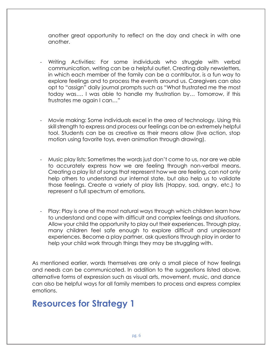another great opportunity to reflect on the day and check in with one another.

- Writing Activities: For some individuals who struggle with verbal communication, writing can be a helpful outlet. Creating daily newsletters, in which each member of the family can be a contributor, is a fun way to explore feelings and to process the events around us. Caregivers can also opt to "assign" daily journal prompts such as "What frustrated me the most today was…. I was able to handle my frustration by… Tomorrow, if this frustrates me again I can…"
- Movie making: Some individuals excel in the area of technology. Using this skill strength to express and process our feelings can be an extremely helpful tool. Students can be as creative as their means allow (live action, stop motion using favorite toys, even animation through drawing).
- Music play lists: Sometimes the words just don't come to us, nor are we able to accurately express how we are feeling through non-verbal means. Creating a play list of songs that represent how we are feeling, can not only help others to understand our internal state, but also help us to validate those feelings. Create a variety of play lists (Happy, sad, angry, etc.) to represent a full spectrum of emotions.
- Play: Play is one of the most natural ways through which children learn how to understand and cope with difficult and complex feelings and situations. Allow your child the opportunity to play out their experiences. Through play, many children feel safe enough to explore difficult and unpleasant experiences. Become a play partner, ask questions through play in order to help your child work through things they may be struggling with.

As mentioned earlier, words themselves are only a small piece of how feelings and needs can be communicated. In addition to the suggestions listed above, alternative forms of expression such as visual arts, movement, music, and dance can also be helpful ways for all family members to process and express complex emotions.

### **Resources for Strategy 1**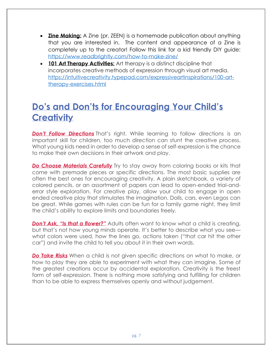- **Zine Making:** A Zine (pr. ZEEN) is a homemade publication about anything that you are interested in. The content and appearance of a Zine is completely up to the creator! Follow this link for a kid friendly DIY guide: <https://www.readbrightly.com/how-to-make-zine/>
- **101 Art Therapy Activities:** Art therapy is a distinct discipline that incorporates creative methods of expression through visual art media. [https://intuitivecreativity.typepad.com/expressiveartinspirations/100-art](https://intuitivecreativity.typepad.com/expressiveartinspirations/100-art-therapy-exercises.html)[therapy-exercises.html](https://intuitivecreativity.typepad.com/expressiveartinspirations/100-art-therapy-exercises.html)

# **Do's and Don'ts for Encouraging Your Child's Creativity**

**Don't Follow Directions** That's right. While learning to follow directions is an important skill for children, too much direction can stunt the creative process. What young kids need in order to develop a sense of self-expression is the chance to make their own decisions in their artwork and play.

**Do Choose Materials Carefully** Try to stay away from coloring books or kits that come with premade pieces or specific directions. The most basic supplies are often the best ones for encouraging creativity. A plain sketchbook, a variety of colored pencils, or an assortment of papers can lead to open-ended trial-anderror style exploration. For creative play, allow your child to engage in open ended creative play that stimulates the imagination. Dolls, cars, even Legos can be great. While games with rules can be fun for a family game night, they limit the child's ability to explore limits and boundaries freely.

**Don't Ask, "Is that a flower?"** Adults often want to know what a child is creating, but that's not how young minds operate. It's better to describe what you see what colors were used, how the lines go, actions taken ("that car hit the other car") and invite the child to tell you about it in their own words.

*Do Take Risks* When a child is not given specific directions on what to make, or how to play they are able to experiment with what they can imagine. Some of the greatest creations occur by accidental exploration. Creativity is the freest form of self-expression. There is nothing more satisfying and fulfilling for children than to be able to express themselves openly and without judgement.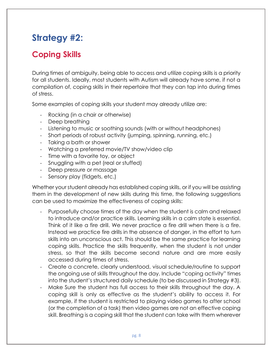# **Strategy #2:**

### <span id="page-7-0"></span>**Coping Skills**

During times of ambiguity, being able to access and utilize coping skills is a priority for all students. Ideally, most students with Autism will already have some, if not a compilation of, coping skills in their repertoire that they can tap into during times of stress.

Some examples of coping skills your student may already utilize are:

- Rocking (in a chair or otherwise)
- Deep breathing
- Listening to music or soothing sounds (with or without headphones)
- Short periods of robust activity (jumping, spinning, running, etc.)
- Taking a bath or shower
- Watching a preferred movie/TV show/video clip
- Time with a favorite toy, or object
- Snuggling with a pet (real or stuffed)
- Deep pressure or massage
- Sensory play (fidgets, etc.)

Whether your student already has established coping skills, or if you will be assisting them in the development of new skills during this time, the following suggestions can be used to maximize the effectiveness of coping skills:

- Purposefully choose times of the day when the student is calm and relaxed to introduce and/or practice skills. Learning skills in a calm state is essential. Think of it like a fire drill. We never practice a fire drill when there is a fire. Instead we practice fire drills in the absence of danger, in the effort to turn skills into an unconscious act. This should be the same practice for learning coping skills. Practice the skills frequently, when the student is not under stress, so that the skills become second nature and are more easily accessed during times of stress.
- Create a concrete, clearly understood, visual schedule/routine to support the ongoing use of skills throughout the day. Include "coping activity" times into the student's structured daily schedule (to be discussed in Strategy #3).
- Make Sure the student has full access to their skills throughout the day. A coping skill is only as effective as the student's ability to access it. For example, if the student is restricted to playing video games to after school (or the completion of a task) then video games are not an effective coping skill. Breathing is a coping skill that the student can take with them wherever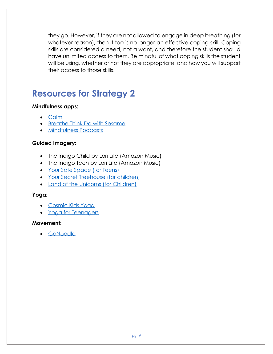they go. However, if they are not allowed to engage in deep breathing (for whatever reason), then it too is no longer an effective coping skill. Coping skills are considered a need, not a want, and therefore the student should have unlimited access to them. Be mindful of what coping skills the student will be using, whether or not they are appropriate, and how you will support their access to those skills.

# **Resources for Strategy 2**

#### **Mindfulness apps:**

- [Calm](https://www.calm.com/?url=https://www.calm.com/&pid=google&af_channel=g&af_c_id=1603556317&af_adset_id=61837906998&af_ad_id=378906119274&af_sub_siteid=&af_keyword=calm%20app&af_sub3=e&af_sub4=Cj0KCQjwyPbzBRDsARIsAFh15JbynuNwz2fTkA9ATx2ropNolWitZYT5z_ndcnE2Ge4_auHGVl9NjisaAsuFEALw_wcB&af_sub5=&utm_medium=paid&utm_source=google&utm_campaign=1603556317+61837906998+378906119274&utm_content=homepage&utm_term=calm%20app&gclid=Cj0KCQjwyPbzBRDsARIsAFh15JbynuNwz2fTkA9ATx2ropNolWitZYT5z_ndcnE2Ge4_auHGVl9NjisaAsuFEALw_wcB)
- [Breathe Think Do with Sesame](https://sesamestreetincommunities.org/activities/breathe-think-do/)
- [Mindfulness Podcasts](https://www.cigna.com/individuals-families/health-wellness/climb-mindfulness-podcasts)

#### **Guided Imagery:**

- The Indigo Child by Lori Lite (Amazon Music)
- The Indigo Teen by Lori Lite (Amazon Music)
- [Your Safe Space \(for Teens\)](https://youtu.be/TRgVIslcSeo)
- [Your Secret Treehouse \(for children\)](https://youtu.be/DWOHcGF1Tmc)
- [Land of the Unicorns \(for Children\)](https://youtu.be/g69cyia-aKI)

#### **Yoga:**

- [Cosmic Kids Yoga](https://www.youtube.com/user/CosmicKidsYoga)
- [Yoga for Teenagers](https://youtu.be/3G1ZkxbTzL8)

#### **Movement:**

• [GoNoodle](https://family.gonoodle.com/)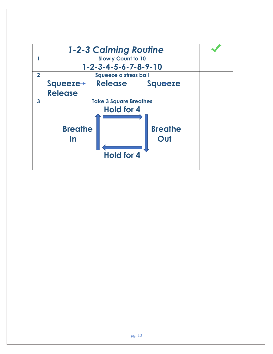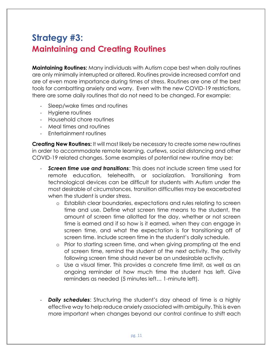## <span id="page-10-0"></span>**Strategy #3: Maintaining and Creating Routines**

**Maintaining Routines:** Many individuals with Autism cope best when daily routines are only minimally interrupted or altered. Routines provide increased comfort and are of even more importance during times of stress. Routines are one of the best tools for combatting anxiety and worry. Even with the new COVID-19 restrictions, there are some daily routines that do not need to be changed. For example:

- Sleep/wake times and routines
- Hygiene routines
- Household chore routines
- Meal times and routines
- Entertainment routines

**Creating New Routines:** It will most likely be necessary to create some new routines in order to accommodate remote learning, curfews, social distancing and other COVID-19 related changes. Some examples of potential new routine may be:

- **Screen time use and transitions:** This does not include screen time used for remote education, telehealth, or socialization. Transitioning from technological devices can be difficult for students with Autism under the most desirable of circumstances, transition difficulties may be exacerbated when the student is under stress.
	- o Establish clear boundaries, expectations and rules relating to screen time and use. Define what screen time means to the student, the amount of screen time allotted for the day, whether or not screen time is earned and if so how is it earned, when they can engage in screen time, and what the expectation is for transitioning off of screen time. Include screen time in the student's daily schedule.
	- o Prior to starting screen time, and when giving prompting at the end of screen time, remind the student of the next activity. The activity following screen time should never be an undesirable activity.
	- o Use a visual timer. This provides a concrete time limit, as well as an ongoing reminder of how much time the student has left. Give reminders as needed (5 minutes left… 1-minute left).
- **Daily schedules:** Structuring the student's day ahead of time is a highly effective way to help reduce anxiety associated with ambiguity. This is even more important when changes beyond our control continue to shift each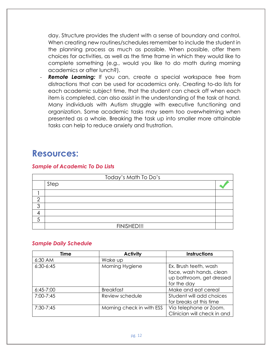day. Structure provides the student with a sense of boundary and control. When creating new routines/schedules remember to include the student in the planning process as much as possible. When possible, offer them choices for activities, as well as the time frame in which they would like to complete something (e.g., would you like to do math during morning academics or after lunch?).

**Remote Learning:** If you can, create a special workspace free from distractions that can be used for academics only. Creating to-do lists for each academic subject time, that the student can check off when each item is completed, can also assist in the understanding of the task at hand. Many individuals with Autism struggle with executive functioning and organization. Some academic tasks may seem too overwhelming when presented as a whole. Breaking the task up into smaller more attainable tasks can help to reduce anxiety and frustration.

### **Resources:**

#### *Sample of Academic To Do Lists*

| Today's Math To Do's |             |  |  |
|----------------------|-------------|--|--|
|                      | Step        |  |  |
|                      |             |  |  |
| ◠                    |             |  |  |
| ◠                    |             |  |  |
|                      |             |  |  |
|                      |             |  |  |
|                      | FINISHED!!! |  |  |

#### *Sample Daily Schedule*

| <b>Time</b>   | <b>Activity</b>           | <b>Instructions</b>         |
|---------------|---------------------------|-----------------------------|
| 6:30 AM       | Wake up                   |                             |
| $6:30-6:45$   | Morning Hygiene           | Ex. Brush teeth, wash       |
|               |                           | face, wash hands, clean     |
|               |                           | up bathroom, get dressed    |
|               |                           | for the day                 |
| $6:45 - 7:00$ | <b>Breakfast</b>          | Make and eat cereal         |
| $7:00 - 7:45$ | Review schedule           | Student will add choices    |
|               |                           | for breaks at this time     |
| $7:30 - 7:45$ | Morning check in with ESS | Via telephone or Zoom.      |
|               |                           | Clinician will check in and |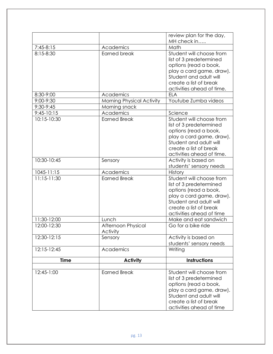|              |                                  | review plan for the day,                           |
|--------------|----------------------------------|----------------------------------------------------|
|              |                                  | MH check in                                        |
| $7:45-8:15$  | Academics                        | Math                                               |
| 8:15-8:30    | <b>Earned break</b>              | Student will choose from                           |
|              |                                  | list of 3 predetermined                            |
|              |                                  | options (read a book,                              |
|              |                                  | play a card game, draw).                           |
|              |                                  | Student and adult will                             |
|              |                                  | create a list of break                             |
|              |                                  | activities ahead of time.                          |
| 8:30-9:00    | Academics                        | <b>ELA</b>                                         |
| 9:00-9:30    | <b>Morning Physical Activity</b> | Youtube Zumba videos                               |
| 9:30-9:45    | Morning snack                    |                                                    |
| $9:45-10:15$ | Academics                        | Science                                            |
| 10:15-10:30  | <b>Earned Break</b>              | Student will choose from                           |
|              |                                  | list of 3 predetermined                            |
|              |                                  | options (read a book,                              |
|              |                                  | play a card game, draw).<br>Student and adult will |
|              |                                  | create a list of break                             |
|              |                                  | activities ahead of time.                          |
| 10:30-10:45  | Sensory                          | Activity is based on                               |
|              |                                  | students' sensory needs                            |
| 1045-11:15   | Academics                        | History                                            |
| 11:15-11:30  | <b>Earned Break</b>              | Student will choose from                           |
|              |                                  | list of 3 predetermined                            |
|              |                                  | options (read a book,                              |
|              |                                  | play a card game, draw).                           |
|              |                                  | Student and adult will                             |
|              |                                  | create a list of break                             |
|              |                                  | activities ahead of time                           |
| 11:30-12:00  | Lunch                            | Make and eat sandwich                              |
| 12:00-12:30  | Afternoon Physical               | Go for a bike ride                                 |
|              | Activity                         |                                                    |
| 12:30-12:15  | Sensory                          | Activity is based on                               |
|              |                                  | students' sensory needs                            |
| 12:15-12:45  | Academics                        | Writing                                            |
| <b>Time</b>  | <b>Activity</b>                  | <b>Instructions</b>                                |
|              |                                  |                                                    |
| 12:45-1:00   | <b>Earned Break</b>              | Student will choose from                           |
|              |                                  | list of 3 predetermined                            |
|              |                                  | options (read a book,                              |
|              |                                  | play a card game, draw).                           |
|              |                                  | Student and adult will                             |
|              |                                  | create a list of break                             |
|              |                                  | activities ahead of time                           |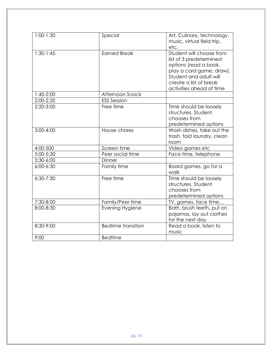| $1:00-1:30$   | Special                   | Art, Culinary, technology,<br>music, virtual field trip,<br>etc.                                                                                                                         |
|---------------|---------------------------|------------------------------------------------------------------------------------------------------------------------------------------------------------------------------------------|
| $1:30-1:45$   | <b>Earned Break</b>       | Student will choose from<br>list of 3 predetermined<br>options (read a book,<br>play a card game, draw).<br>Student and adult will<br>create a list of break<br>activities ahead of time |
| 1:45-2:00     | Afternoon Snack           |                                                                                                                                                                                          |
| 2:00-2:20     | <b>ESS Session</b>        |                                                                                                                                                                                          |
| $2:20-3:00$   | Free time                 | Time should be loosely<br>structures. Student<br>chooses from<br>predetermined options                                                                                                   |
| $3:00 - 4:00$ | House chores              | Wash dishes, take out the<br>trash, fold laundry, clean<br>room                                                                                                                          |
| 4:00-500      | Screen time               | Video games etc                                                                                                                                                                          |
| 5:00-5:30     | Peer social time          | Face time, telephone                                                                                                                                                                     |
| 5:30-6:00     | Dinner                    |                                                                                                                                                                                          |
| $6:00 - 6:30$ | Family time               | Board games, go for a<br>walk                                                                                                                                                            |
| $6:30 - 7:30$ | Free time                 | Time should be loosely<br>structures. Student<br>chooses from<br>predetermined options                                                                                                   |
| 7:30-8:00     | Family/Peer time          | TV, games, face time                                                                                                                                                                     |
| 8:00-8:30     | Evening Hygiene           | Bath, brush teeth, put on<br>pajamas, lay out clothes<br>for the next day                                                                                                                |
| 8:30-9:00     | <b>Bedtime transition</b> | Read a book, listen to<br>music                                                                                                                                                          |
| 9:00          | <b>Bedtime</b>            |                                                                                                                                                                                          |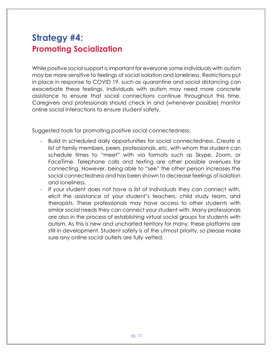### <span id="page-14-0"></span>**Strategy #4: Promoting Socialization**

While positive social support is important for everyone some individuals with autism may be more sensitive to feelings of social isolation and loneliness. Restrictions put in place in response to COVID 19, such as quarantine and social distancing can exacerbate these feelings. Individuals with autism may need more concrete assistance to ensure that social connections continue throughout this time. Caregivers and professionals should check in and (whenever possible) monitor online social interactions to ensure student safety.

Suggested tools for promoting positive social connectedness:

- Build in scheduled daily opportunities for social connectedness. Create a list of family members, peers, professionals, etc. with whom the student can schedule times to "meet" with via formats such as Skype, Zoom, or FaceTime. Telephone calls and texting are other possible avenues for connecting. However, being able to "see" the other person increases the social connectedness and has been shown to decrease feelings of isolation and loneliness.
- If your student does not have a list of individuals they can connect with, elicit the assistance of your student's teachers, child study team, and therapists. These professionals may have access to other students with similar social needs they can connect your student with. Many professionals are also in the process of establishing virtual social groups for students with autism. As this is new and uncharted territory for many, these platforms are still in development. Student safety is of the utmost priority, so please make sure any online social outlets are fully vetted.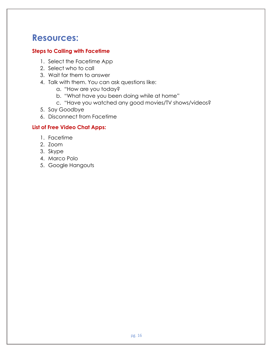### **Resources:**

#### **Steps to Calling with Facetime**

- 1. Select the Facetime App
- 2. Select who to call
- 3. Wait for them to answer
- 4. Talk with them. You can ask questions like:
	- a. "How are you today?
	- b. "What have you been doing while at home"
	- c. "Have you watched any good movies/TV shows/videos?
- 5. Say Goodbye
- 6. Disconnect from Facetime

#### **List of Free Video Chat Apps:**

- 1. Facetime
- 2. Zoom
- 3. Skype
- 4. Marco Polo
- 5. Google Hangouts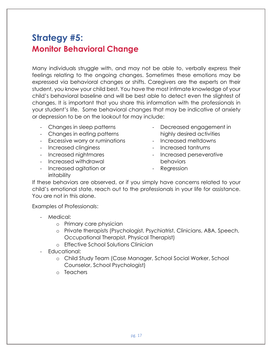### <span id="page-16-0"></span>**Strategy #5: Monitor Behavioral Change**

Many individuals struggle with, and may not be able to, verbally express their feelings relating to the ongoing changes. Sometimes these emotions may be expressed via behavioral changes or shifts. Caregivers are the experts on their student, you know your child best. You have the most intimate knowledge of your child's behavioral baseline and will be best able to detect even the slightest of changes. It is important that you share this information with the professionals in your student's life. Some behavioral changes that may be indicative of anxiety or depression to be on the lookout for may include:

- Changes in sleep patterns
- Changes in eating patterns
- Excessive worry or ruminations
- Increased clinginess
- Increased nightmares
- Increased withdrawal
- Increased agitation or irritability
- Decreased engagement in highly desired activities
- Increased meltdowns
- Increased tantrums
- Increased perseverative behaviors
- Regression

If these behaviors are observed, or if you simply have concerns related to your child's emotional state, reach out to the professionals in your life for assistance. You are not in this alone.

Examples of Professionals:

- Medical:
	- o Primary care physician
	- o Private therapists (Psychologist, Psychiatrist, Clinicians, ABA, Speech, Occupational Therapist, Physical Therapist)
	- o Effective School Solutions Clinician
- Educational:
	- o Child Study Team (Case Manager, School Social Worker, School Counselor, School Psychologist)
	- o Teachers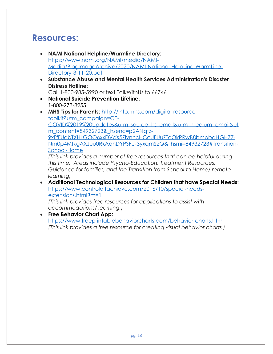### **Resources:**

- **NAMI National Helpline/Warmline Directory:** [https://www.nami.org/NAMI/media/NAMI-](https://www.nami.org/NAMI/media/NAMI-Media/BlogImageArchive/2020/NAMI-National-HelpLine-WarmLine-Directory-3-11-20.pdf)[Media/BlogImageArchive/2020/NAMI-National-HelpLine-WarmLine-](https://www.nami.org/NAMI/media/NAMI-Media/BlogImageArchive/2020/NAMI-National-HelpLine-WarmLine-Directory-3-11-20.pdf)[Directory-3-11-20.pdf](https://www.nami.org/NAMI/media/NAMI-Media/BlogImageArchive/2020/NAMI-National-HelpLine-WarmLine-Directory-3-11-20.pdf)
- **Substance Abuse and Mental Health Services Administration's Disaster Distress Hotline:**
	- Call 1-800-985-5990 or text TalkWithUs to 66746
- **National Suicide Prevention Lifeline:** 1-800-273-8255
- **MHS Tips for Parents:** [http://info.mhs.com/digital-resource](http://info.mhs.com/digital-resource-toolkit?utm_campaign=CE-COVID%2019%20Updates&utm_source=hs_email&utm_medium=email&utm_content=84932723&_hsenc=p2ANqtz-9xFfFUabTXHLGOO6xxDVcX5ZlvnncHCcUFUuZToOkRRwB8bmpbaHGH77-Nm0p4MtkgAXJuu0RkAqhDYPSFU-3yxqmS2Q&_hsmi=84932723#Transition-School-Home)[toolkit?utm\\_campaign=CE-](http://info.mhs.com/digital-resource-toolkit?utm_campaign=CE-COVID%2019%20Updates&utm_source=hs_email&utm_medium=email&utm_content=84932723&_hsenc=p2ANqtz-9xFfFUabTXHLGOO6xxDVcX5ZlvnncHCcUFUuZToOkRRwB8bmpbaHGH77-Nm0p4MtkgAXJuu0RkAqhDYPSFU-3yxqmS2Q&_hsmi=84932723#Transition-School-Home)[COVID%2019%20Updates&utm\\_source=hs\\_email&utm\\_medium=email&ut](http://info.mhs.com/digital-resource-toolkit?utm_campaign=CE-COVID%2019%20Updates&utm_source=hs_email&utm_medium=email&utm_content=84932723&_hsenc=p2ANqtz-9xFfFUabTXHLGOO6xxDVcX5ZlvnncHCcUFUuZToOkRRwB8bmpbaHGH77-Nm0p4MtkgAXJuu0RkAqhDYPSFU-3yxqmS2Q&_hsmi=84932723#Transition-School-Home) [m\\_content=84932723&\\_hsenc=p2ANqtz-](http://info.mhs.com/digital-resource-toolkit?utm_campaign=CE-COVID%2019%20Updates&utm_source=hs_email&utm_medium=email&utm_content=84932723&_hsenc=p2ANqtz-9xFfFUabTXHLGOO6xxDVcX5ZlvnncHCcUFUuZToOkRRwB8bmpbaHGH77-Nm0p4MtkgAXJuu0RkAqhDYPSFU-3yxqmS2Q&_hsmi=84932723#Transition-School-Home)[9xFfFUabTXHLGOO6xxDVcX5ZlvnncHCcUFUuZToOkRRwB8bmpbaHGH77-](http://info.mhs.com/digital-resource-toolkit?utm_campaign=CE-COVID%2019%20Updates&utm_source=hs_email&utm_medium=email&utm_content=84932723&_hsenc=p2ANqtz-9xFfFUabTXHLGOO6xxDVcX5ZlvnncHCcUFUuZToOkRRwB8bmpbaHGH77-Nm0p4MtkgAXJuu0RkAqhDYPSFU-3yxqmS2Q&_hsmi=84932723#Transition-School-Home) [Nm0p4MtkgAXJuu0RkAqhDYPSFU-3yxqmS2Q&\\_hsmi=84932723#Transition-](http://info.mhs.com/digital-resource-toolkit?utm_campaign=CE-COVID%2019%20Updates&utm_source=hs_email&utm_medium=email&utm_content=84932723&_hsenc=p2ANqtz-9xFfFUabTXHLGOO6xxDVcX5ZlvnncHCcUFUuZToOkRRwB8bmpbaHGH77-Nm0p4MtkgAXJuu0RkAqhDYPSFU-3yxqmS2Q&_hsmi=84932723#Transition-School-Home)[School-Home](http://info.mhs.com/digital-resource-toolkit?utm_campaign=CE-COVID%2019%20Updates&utm_source=hs_email&utm_medium=email&utm_content=84932723&_hsenc=p2ANqtz-9xFfFUabTXHLGOO6xxDVcX5ZlvnncHCcUFUuZToOkRRwB8bmpbaHGH77-Nm0p4MtkgAXJuu0RkAqhDYPSFU-3yxqmS2Q&_hsmi=84932723#Transition-School-Home) *(This link provides a number of free resources that can be helpful during*

*this time. Areas include Psycho-Education, Treatment Resources, Guidance for families, and the Transition from School to Home/ remote learning)* 

• **Additional Technological Resources for Children that have Special Needs:** [https://www.controlaltachieve.com/2016/10/special-needs](https://www.controlaltachieve.com/2016/10/special-needs-extensions.html?m=1)[extensions.html?m=1](https://www.controlaltachieve.com/2016/10/special-needs-extensions.html?m=1)

*(This link provides free resources for applications to assist with accommodations/ learning.)*

• **Free Behavior Chart App:** <https://www.freeprintablebehaviorcharts.com/behavior-charts.htm> *(This link provides a free resource for creating visual behavior charts.)*